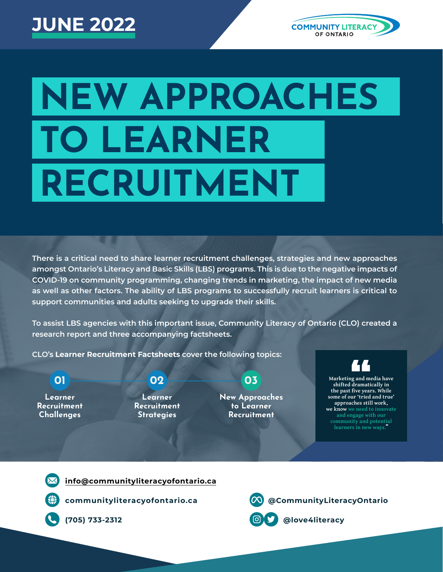# **JUNE 2022**



# **NEW APPROACHES TO LEARNER RECRUITMENT**

**There is a critical need to share learner recruitment challenges, strategies and new approaches amongst Ontario's Literacy and Basic Skills (LBS) programs. This is due to the negative impacts of COVID-19 on community programming, changing trends in marketing, the impact of new media as well as other factors. The ability of LBS programs to successfully recruit learners is critical to support communities and adults seeking to upgrade their skills.**

**To assist LBS agencies with this important issue, Community Literacy of Ontario (CLO) created a research report and three accompanying factsheets.**

" **approaches still work, CLO's Learner Recruitment Factsheets cover the following topics: 01 02 03 Learner Recruitment Challenges Learner Recruitment Strategies New Approaches to Learner Recruitment Marketing and media have shifted dramatically in the past five years. While some of our 'tried and true' we know we need to innovate and engage with our community and potential** 

**[info@communityliteracyofontario.ca](mailto:info@communityliteracyofontario.ca)**



**(705) 733-2312 @love4literacy**

**[communityliteracyofontario.ca](http://www.communityliteracyofontario.ca) [@CommunityLiteracyOntario](https://www.facebook.com/CommunityLiteracyOntario/)**

learners in new ways.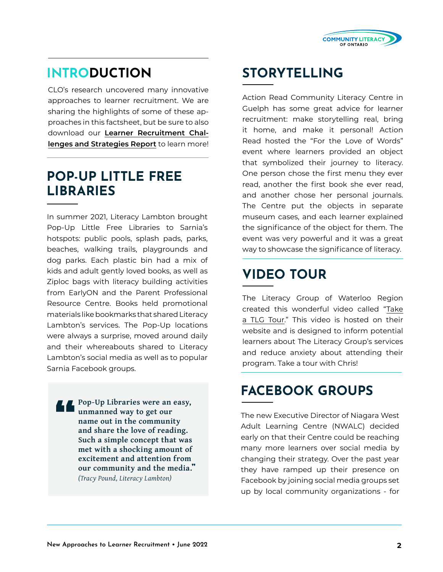

#### **INTRODUCTION**

CLO's research uncovered many innovative approaches to learner recruitment. We are sharing the highlights of some of these approaches in this factsheet, but be sure to also download our **[Learner Recruitment Chal](https://www.communityliteracyofontario.ca/wp/wp-content/uploads/Learner-Recruitment-Report-March-2022-FINAL.pdf)[lenges and Strategies Report](https://www.communityliteracyofontario.ca/wp/wp-content/uploads/Learner-Recruitment-Report-March-2022-FINAL.pdf)** to learn more!

#### **POP-UP LITTLE FREE LIBRARIES**

In summer 2021, Literacy Lambton brought Pop-Up Little Free Libraries to Sarnia's hotspots: public pools, splash pads, parks, beaches, walking trails, playgrounds and dog parks. Each plastic bin had a mix of kids and adult gently loved books, as well as Ziploc bags with literacy building activities from EarlyON and the Parent Professional Resource Centre. Books held promotional materials like bookmarks that shared Literacy Lambton's services. The Pop-Up locations were always a surprise, moved around daily and their whereabouts shared to Literacy Lambton's social media as well as to popular Sarnia Facebook groups.

**Pop-Up Libraries were an easy, unmanned way to get our name out in the community and share the love of reading. Such a simple concept that was met with a shocking amount of excitement and attention from our community and the media.**" *(Tracy Pound, Literacy Lambton)* "<br>"

#### **STORYTELLING**

Action Read Community Literacy Centre in Guelph has some great advice for learner recruitment: make storytelling real, bring it home, and make it personal! Action Read hosted the "For the Love of Words" event where learners provided an object that symbolized their journey to literacy. One person chose the first menu they ever read, another the first book she ever read, and another chose her personal journals. The Centre put the objects in separate museum cases, and each learner explained the significance of the object for them. The event was very powerful and it was a great way to showcase the significance of literacy.

## **VIDEO TOUR**

The Literacy Group of Waterloo Region created this wonderful video called "[Take](https://sites.google.com/view/tlgvoices/take-a-tlg-tour) [a TLG Tour](https://sites.google.com/view/tlgvoices/take-a-tlg-tour)." This video is hosted on their website and is designed to inform potential learners about The Literacy Group's services and reduce anxiety about attending their program. Take a tour with Chris!

## **FACEBOOK GROUPS**

The new Executive Director of Niagara West Adult Learning Centre (NWALC) decided early on that their Centre could be reaching many more learners over social media by changing their strategy. Over the past year they have ramped up their presence on Facebook by joining social media groups set up by local community organizations - for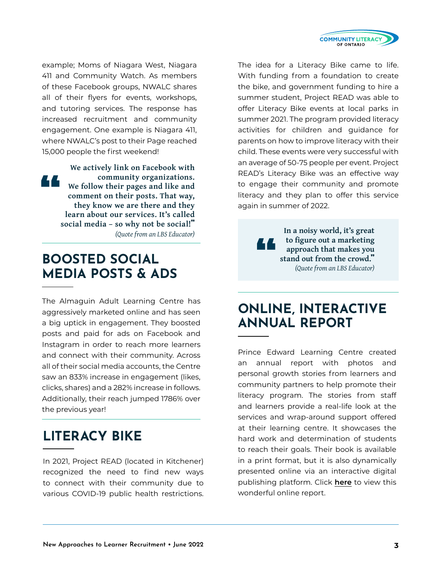

example; Moms of Niagara West, Niagara 411 and Community Watch. As members of these Facebook groups, NWALC shares all of their flyers for events, workshops, and tutoring services. The response has increased recruitment and community engagement. One example is Niagara 411, where NWALC's post to their Page reached 15,000 people the first weekend!

**We actively link on Facebook with community organizations. We follow their pages and like and comment on their posts. That way, they know we are there and they learn about our services. It's called social media – so why not be social!**" *(Quote from an LBS Educator)* <u>r a </u>

#### **BOOSTED SOCIAL MEDIA POSTS & ADS**

The Almaguin Adult Learning Centre has aggressively marketed online and has seen a big uptick in engagement. They boosted posts and paid for ads on Facebook and Instagram in order to reach more learners and connect with their community. Across all of their social media accounts, the Centre saw an 833% increase in engagement (likes, clicks, shares) and a 282% increase in follows. Additionally, their reach jumped 1786% over the previous year!

#### **LITERACY BIKE**

In 2021, Project READ (located in Kitchener) recognized the need to find new ways to connect with their community due to various COVID-19 public health restrictions. The idea for a Literacy Bike came to life. With funding from a foundation to create the bike, and government funding to hire a summer student, Project READ was able to offer Literacy Bike events at local parks in summer 2021. The program provided literacy activities for children and guidance for parents on how to improve literacy with their child. These events were very successful with an average of 50-75 people per event. Project READ's Literacy Bike was an effective way to engage their community and promote literacy and they plan to offer this service again in summer of 2022.

> "<br>"<br>" **In a noisy world, it's great to figure out a marketing approach that makes you stand out from the crowd.**" *(Quote from an LBS Educator)*

#### **ONLINE, INTERACTIVE ANNUAL REPORT**

Prince Edward Learning Centre created an annual report with photos and personal growth stories from learners and community partners to help promote their literacy program. The stories from staff and learners provide a real-life look at the services and wrap-around support offered at their learning centre. It showcases the hard work and determination of students to reach their goals. Their book is available in a print format, but it is also dynamically presented online via an interactive digital publishing platform. Click **[here](https://online.fliphtml5.com/ieobi/ltgp/?1632331042391#p=1)** to view this wonderful online report.